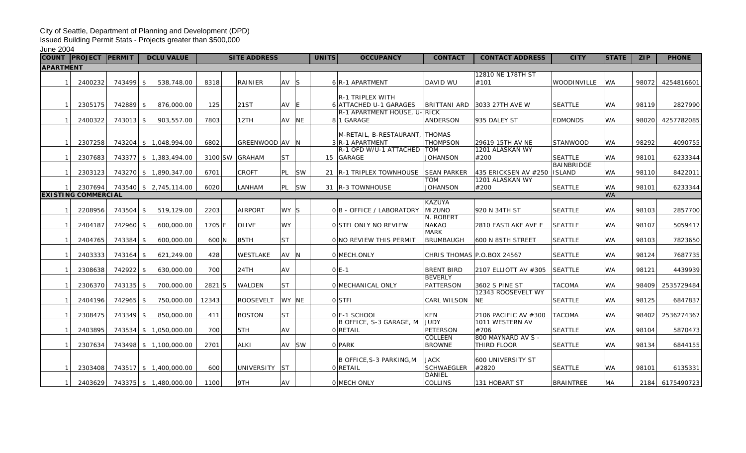## City of Seattle, Department of Planning and Development (DPD)

Issued Building Permit Stats - Projects greater than \$500,000

June 2004

| <b>COUNT</b>     | <b>PROJECT PERMIT</b>                 |           | <b>DCLU VALUE</b>             |                | <b>SITE ADDRESS</b> |           |       | UNITS | <b>OCCUPANCY</b>                                       | <b>CONTACT</b>                      | <b>CONTACT ADDRESS</b>     | <b>CITY</b>      | <b>STATE</b>           | <b>ZIP</b> | <b>PHONE</b>    |
|------------------|---------------------------------------|-----------|-------------------------------|----------------|---------------------|-----------|-------|-------|--------------------------------------------------------|-------------------------------------|----------------------------|------------------|------------------------|------------|-----------------|
| <b>APARTMENT</b> |                                       |           |                               |                |                     |           |       |       |                                                        |                                     |                            |                  |                        |            |                 |
|                  |                                       |           |                               |                |                     |           |       |       |                                                        |                                     | 12810 NE 178TH ST          |                  |                        |            |                 |
|                  | 2400232                               | 743499 \$ | 538,748.00                    | 8318           | RAINIER             | $AV$ $S$  |       |       | 6 R-1 APARTMENT                                        | DAVID WU                            | #101                       | WOODINVILLE      | <b>WA</b>              | 98072      | 4254816601      |
|                  |                                       |           |                               |                |                     |           |       |       |                                                        |                                     |                            |                  |                        |            |                 |
|                  |                                       |           |                               |                |                     |           |       |       | <b>R-1 TRIPLEX WITH</b>                                |                                     |                            |                  |                        |            |                 |
| 1 <sup>1</sup>   | 2305175                               | 742889 \$ | 876,000.00                    | 125            | 21ST                | $AV$ $E$  |       |       | 6 ATTACHED U-1 GARAGES<br>R-1 APARTMENT HOUSE, U- RICK | <b>BRITTANI ARD</b>                 | 3033 27TH AVE W            | <b>SEATTLE</b>   | WA.                    | 98119      | 2827990         |
| 1 <sup>1</sup>   | 2400322                               | 743013 \$ | 903,557.00                    | 7803           | 12TH                | AV NE     |       |       | 81 GARAGE                                              | <b>ANDERSON</b>                     | 935 DALEY ST               | <b>EDMONDS</b>   | <b>WA</b>              | 98020      | 4257782085      |
|                  |                                       |           |                               |                |                     |           |       |       |                                                        |                                     |                            |                  |                        |            |                 |
|                  |                                       |           |                               |                |                     |           |       |       | M-RETAIL, B-RESTAURANT, THOMAS                         |                                     |                            |                  |                        |            |                 |
| 1 <sup>1</sup>   | 2307258                               |           | 743204 \$ 1,048,994.00        | 6802           | GREENWOOD AV N      |           |       |       | 3 R-1 APARTMENT                                        | <b>THOMPSON</b>                     | 29619 15TH AV NE           | STANWOOD         | <b>WA</b>              | 98292      | 4090755         |
|                  |                                       |           |                               |                |                     |           |       |       | R-1 OFD W/U-1 ATTACHED   TOM                           |                                     | 1201 ALASKAN WY            |                  |                        |            |                 |
| 1 <sup>1</sup>   | 2307683                               |           | 743377 \$ 1,383,494.00        | 3100 SW GRAHAM |                     | <b>ST</b> |       |       | 15 GARAGE                                              | <b>JOHANSON</b>                     | #200                       | <b>SEATTLE</b>   | WA.                    | 98101      | 6233344         |
|                  |                                       |           |                               |                |                     |           |       |       |                                                        |                                     |                            | BAINBRIDGE       |                        |            |                 |
| 11               | 2303123                               |           | 743270 \$ 1,890,347.00        | 6701           | <b>CROFT</b>        |           | PL SW |       | 21   R-1 TRIPLEX TOWNHOUSE   SEAN PARKER               |                                     | $ 435$ ERICKSEN AV #250    | <b>ISLAND</b>    | <b>WA</b>              | 98110      | 8422011         |
|                  |                                       |           |                               |                |                     |           |       |       |                                                        | <b>TOM</b>                          | 1201 ALASKAN WY            |                  |                        |            |                 |
|                  | 2307694<br><b>EXISTING COMMERCIAL</b> |           | 743540 \$2,745,114.00         | 6020           | LANHAM              | PL SW     |       |       | 31   R-3 TOWNHOUSE                                     | JOHANSON                            | #200                       | <b>SEATTLE</b>   | <b>WA</b><br><b>WA</b> | 98101      | 6233344         |
|                  |                                       |           |                               |                |                     |           |       |       |                                                        | <b>KAZUYA</b>                       |                            |                  |                        |            |                 |
|                  | 2208956                               | 743504 \$ | 519,129.00                    | 2203           | <b>AIRPORT</b>      | WY S      |       |       | 0 B - OFFICE / LABORATORY                              | MIZUNO                              | 920 N 34TH ST              | <b>SEATTLE</b>   | <b>WA</b>              | 98103      | 2857700         |
|                  |                                       |           |                               |                |                     |           |       |       |                                                        | N. ROBERT                           |                            |                  |                        |            |                 |
|                  | 2404187                               | 742960 \$ | 600,000.00                    | 1705 E         | <b>OLIVE</b>        | <b>WY</b> |       |       | OSTFI ONLY NO REVIEW                                   | <b>NAKAO</b>                        | 2810 EASTLAKE AVE E        | <b>SEATTLE</b>   | <b>WA</b>              | 98107      | 5059417         |
|                  |                                       |           |                               |                |                     |           |       |       |                                                        | <b>MARK</b>                         |                            |                  |                        |            |                 |
| 1 <sup>1</sup>   | 2404765                               | 743384 \$ | 600,000.00                    | 600 N          | 85TH                | <b>ST</b> |       |       | ONO REVIEW THIS PERMIT                                 | <b>BRUMBAUGH</b>                    | 600 N 85TH STREET          | <b>SEATTLE</b>   | <b>WA</b>              | 98103      | 7823650         |
|                  |                                       |           |                               |                |                     |           |       |       |                                                        |                                     |                            |                  |                        |            |                 |
| 1 <sup>1</sup>   | 2403333                               | 743164 \$ | 621,249.00                    | 428            | WESTLAKE            | AV N      |       |       | 0 MECH.ONLY                                            |                                     | CHRIS THOMAS P.O.BOX 24567 | <b>SEATTLE</b>   | WA.                    | 98124      | 7687735         |
|                  |                                       |           |                               |                |                     |           |       |       |                                                        |                                     |                            |                  |                        |            |                 |
|                  | 2308638                               | 742922 \$ | 630,000.00                    | 700            | 24TH                | AV        |       |       | $O E-1 $                                               | <b>BRENT BIRD</b><br><b>BEVERLY</b> | 2107 ELLIOTT AV #305       | <b>SEATTLE</b>   | <b>WA</b>              | 98121      | 4439939         |
| 1 <sup>1</sup>   | 2306370                               | 743135 \$ | 700,000.00                    | 2821 S         | <b>WALDEN</b>       | <b>ST</b> |       |       | O MECHANICAL ONLY                                      | PATTERSON                           | 3602 S PINE ST             | <b>TACOMA</b>    | <b>WA</b>              | 98409      | 2535729484      |
|                  |                                       |           |                               |                |                     |           |       |       |                                                        |                                     | 12343 ROOSEVELT WY         |                  |                        |            |                 |
| 1 <sup>1</sup>   | 2404196                               | 742965 \$ | 750,000.00                    | 12343          | <b>ROOSEVELT</b>    | WY NE     |       |       | 0 STFI                                                 | <b>CARL WILSON</b>                  | <b>NE</b>                  | <b>SEATTLE</b>   | <b>WA</b>              | 98125      | 6847837         |
|                  |                                       |           |                               |                |                     |           |       |       |                                                        |                                     |                            |                  |                        |            |                 |
| 1 <sup>1</sup>   | 2308475                               | 743349 \$ | 850,000.00                    | 411            | <b>BOSTON</b>       | <b>ST</b> |       |       | OIE-1 SCHOOL                                           | <b>KEN</b>                          | 2106 PACIFIC AV #300       | <b>TACOMA</b>    | <b>WA</b>              | 98402      | 2536274367      |
|                  |                                       |           |                               |                |                     |           |       |       | B OFFICE, S-3 GARAGE, M                                | <b>JUDY</b>                         | 1011 WESTERN AV            |                  |                        |            |                 |
|                  | 2403895                               |           | 743534 \$ 1,050,000.00        | 700            | 5TH                 | AV        |       |       | 0 RETAIL                                               | <b>PETERSON</b>                     | #706                       | <b>SEATTLE</b>   | <b>WA</b>              | 98104      | 5870473         |
|                  |                                       |           |                               |                |                     |           |       |       |                                                        | <b>COLLEEN</b>                      | 800 MAYNARD AV S -         |                  |                        |            |                 |
|                  | 2307634                               |           | 743498 \$ 1,100,000.00        | 2701           | <b>ALKI</b>         |           | AV SW |       | 0 PARK                                                 | <b>BROWNE</b>                       | THIRD FLOOR                | <b>SEATTLE</b>   | <b>WA</b>              | 98134      | 6844155         |
|                  |                                       |           |                               |                |                     |           |       |       |                                                        |                                     |                            |                  |                        |            |                 |
|                  | 2303408                               |           | 743517 \$ 1,400,000.00        | 600            | UNIVERSITY ST       |           |       |       | B OFFICE, S-3 PARKING, M<br>0 RETAIL                   | JACK<br><b>SCHWAEGLER</b>           | 600 UNIVERSITY ST<br>#2820 | <b>SEATTLE</b>   | <b>WA</b>              | 98101      | 6135331         |
|                  |                                       |           |                               |                |                     |           |       |       |                                                        | DANIEL                              |                            |                  |                        |            |                 |
|                  | 11                                    |           | 2403629 743375 \$1,480,000.00 | 1100           | 9TH                 | <b>AV</b> |       |       | 0 MECH ONLY                                            | <b>COLLINS</b>                      | 131 HOBART ST              | <b>BRAINTREE</b> | MA                     |            | 2184 6175490723 |